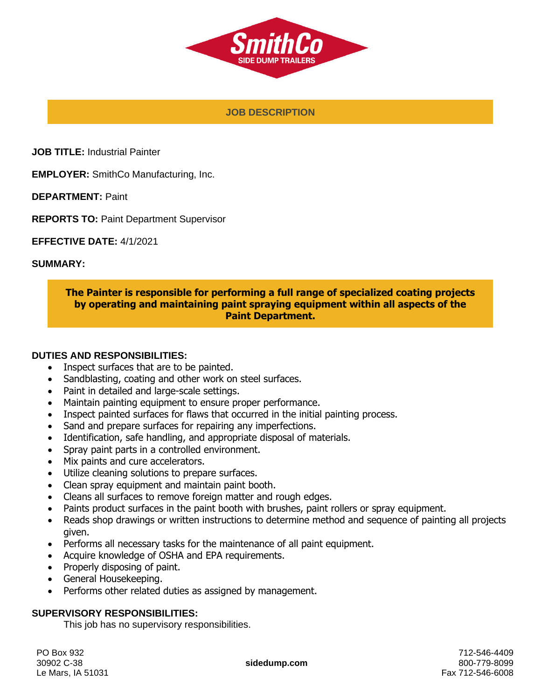

#### **JOB DESCRIPTION**

**JOB TITLE:** Industrial Painter

**EMPLOYER:** SmithCo Manufacturing, Inc.

**DEPARTMENT:** Paint

**REPORTS TO:** Paint Department Supervisor

**EFFECTIVE DATE:** 4/1/2021

#### **SUMMARY:**

### **The Painter is responsible for performing a full range of specialized coating projects by operating and maintaining paint spraying equipment within all aspects of the Paint Department.**

#### **DUTIES AND RESPONSIBILITIES:**

- Inspect surfaces that are to be painted.
- Sandblasting, coating and other work on steel surfaces.
- Paint in detailed and large-scale settings.
- Maintain painting equipment to ensure proper performance.
- Inspect painted surfaces for flaws that occurred in the initial painting process.
- Sand and prepare surfaces for repairing any imperfections.
- Identification, safe handling, and appropriate disposal of materials.
- Spray paint parts in a controlled environment.
- Mix paints and cure accelerators.
- Utilize cleaning solutions to prepare surfaces.
- Clean spray equipment and maintain paint booth.
- Cleans all surfaces to remove foreign matter and rough edges.
- Paints product surfaces in the paint booth with brushes, paint rollers or spray equipment.
- Reads shop drawings or written instructions to determine method and sequence of painting all projects given.
- Performs all necessary tasks for the maintenance of all paint equipment.
- Acquire knowledge of OSHA and EPA requirements.
- Properly disposing of paint.
- General Housekeeping.
- Performs other related duties as assigned by management.

### **SUPERVISORY RESPONSIBILITIES:**

This job has no supervisory responsibilities.